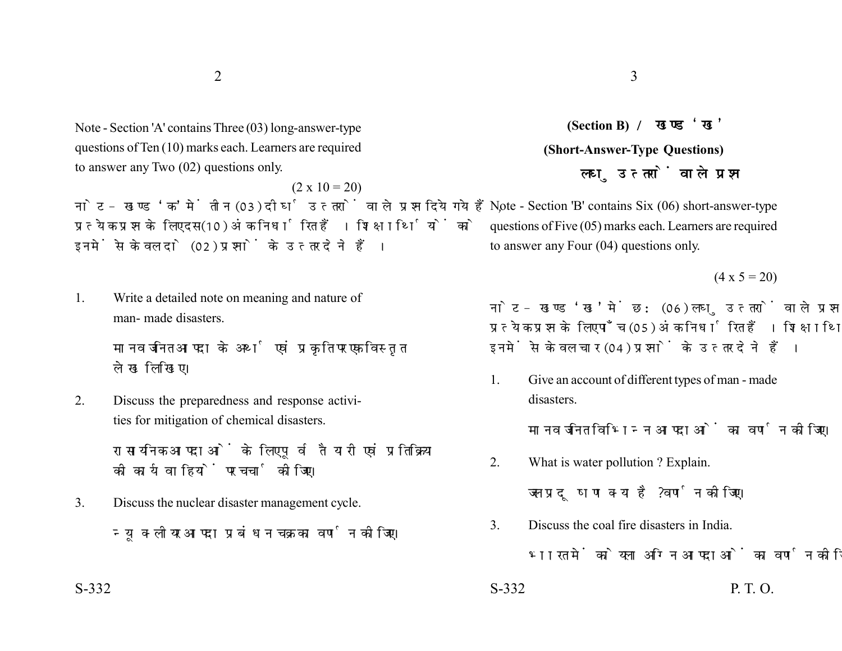Note - Section 'A' contains Three (03) long-answer-type questions of Ten (10) marks each. Learners are required to answer any Two (02) questions only.

 $(2 \times 10 = 20)$ नोट- खण्ड 'क' में तीन (03) दीर्घ उत्तरों वाले प्रश्न दिये गये हैं. प्रत्येक प्रश्न के लिए दस (10) अंक निर्धारित हैं। शिक्षार्थियों को इनमें से केवल दो (02) प्रश्नों के उत्तर देने हैं।

1. Write a detailed note on meaning and nature of man- made disasters.

> मानव जनित आपदा के अर्थ एवं प्रकृति पर एक विस्तृत लेख लिखिए।

2. Discuss the preparedness and response activities for mitigation of chemical disasters.

> रासायनिक आपदाओं के लिए पूर्व तैयारी एवं प्रतिक्रिया की कार्यवाहियों पर चर्चा कीजिए।

3. Discuss the nuclear disaster management cycle. न्यूक्लीयर आपदा प्रबंधन चक्र का वर्णन कोजिए।

**(Section B) (Short-Answer-Type Questions)** लघ उत्तरों वाले प्रश्न

Note - Section 'B' contains Six (06) short-answer-type questions of Five (05) marks each. Learners are required to answer any Four (04) questions only.

 $(4 \times 5 = 20)$ 

नोट- खण्ड 'ख' में छ: (06) लघु उत्तरों वाले प्रश्न दिये गये हैं, प्रत्येक प्रश्न के लिए पाँच (05) अंक निर्धारित हैं। शिक्षार्थियों को इनमें से केवल चार (04) प्रश्नों के उत्तर देने हैं।

1. Give an account of different types of man - made disasters.

मानव जनित विभिन्न आपदाओं का वर्णन कोजिए।

2. What is water pollution ? Explain.

जल प्रदूषण क्या है ? वर्णन कोजिए।

3. Discuss the coal fire disasters in India.

भारत में कोयला अग्नि आपदाओं का वर्णन कीजिए।

 $S-332$  P. T. O.